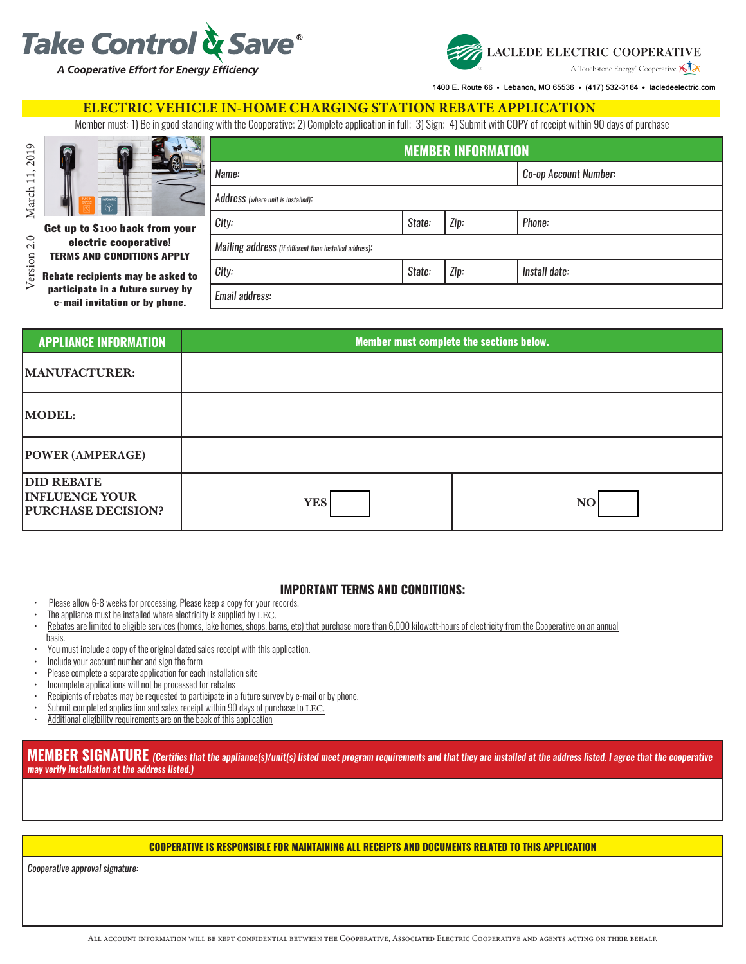



1400 E. Route 66 · Lebanon, MO 65536 · (417) 532-3164 · lacledeelectric.com

## **ELECTRIC VEHICLE IN-HOME CHARGING STATION REBATE APPLICATION**

Member must: 1) Be in good standing with the Cooperative; 2) Complete application in full; 3) Sign; 4) Submit with COPY of receipt within 90 days of purchase

| $\Omega$                                                                                                 | <b>MEMBER INFORMATION</b>                              |        |      |                       |  |
|----------------------------------------------------------------------------------------------------------|--------------------------------------------------------|--------|------|-----------------------|--|
|                                                                                                          | Name:                                                  |        |      | Co-op Account Number: |  |
| ARDWRE                                                                                                   | Address (where unit is installed):                     |        |      |                       |  |
| Get up to \$100 back from your                                                                           | City:                                                  | State: | Zip: | Phone:                |  |
| electric cooperative!<br><b>TERMS AND CONDITIONS APPLY</b>                                               | Mailing address (if different than installed address): |        |      |                       |  |
| Rebate recipients may be asked to<br>participate in a future survey by<br>e-mail invitation or by phone. | City:                                                  | State: | Zip: | Install date:         |  |
|                                                                                                          | Email address:                                         |        |      |                       |  |

| <b>APPLIANCE INFORMATION</b>                                            | Member must complete the sections below. |    |  |
|-------------------------------------------------------------------------|------------------------------------------|----|--|
| MANUFACTURER:                                                           |                                          |    |  |
| <b>MODEL:</b>                                                           |                                          |    |  |
| <b>POWER (AMPERAGE)</b>                                                 |                                          |    |  |
| <b>DID REBATE</b><br><b>INFLUENCE YOUR</b><br><b>PURCHASE DECISION?</b> | <b>YES</b>                               | NO |  |

### **IMPORTANT TERMS AND CONDITIONS:**

- Please allow 6-8 weeks for processing. Please keep a copy for your records.
- The appliance must be installed where electricity is supplied by LEC.
- Rebates are limited to eligible services (homes, lake homes, shops, barns, etc) that purchase more than 6,000 kilowatt-hours of electricity from the Cooperative on an annual basis.
- You must include a copy of the original dated sales receipt with this application.
- Include your account number and sign the form
- Please complete a separate application for each installation site
- Incomplete applications will not be processed for rebates
- Recipients of rebates may be requested to participate in a future survey by e-mail or by phone.
- Submit completed application and sales receipt within 90 days of purchase to LEC.
- Additional eligibility requirements are on the back of this application

**MEMBER SIGNATURE** *(Certifies that the appliance(s)/unit(s) listed meet program requirements and that they are installed at the address listed. I agree that the cooperative may verify installation at the address listed.)*

#### **COOPERATIVE IS RESPONSIBLE FOR MAINTAINING ALL RECEIPTS AND DOCUMENTS RELATED TO THIS APPLICATION**

*Cooperative approval signature:*